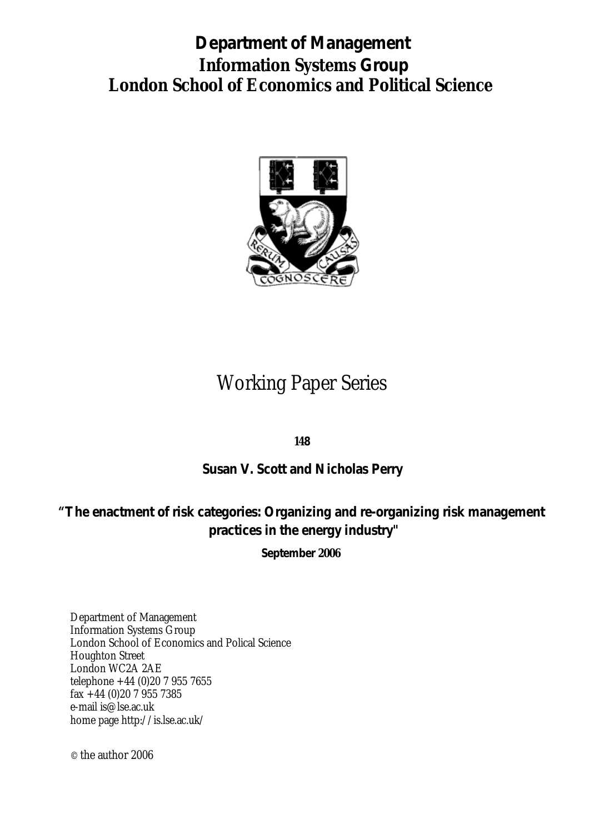## **Information Systems Group London School of Economics and Political Science Department of Management**



# Working Paper Series

**148**

**Susan V. Scott and Nicholas Perry**

## **"The enactment of risk categories: Organizing and re-organizing risk management practices in the energy industry"**

**September 2006** 

Department of Management Information Systems Group London School of Economics and Polical Science Houghton Street London WC2A 2AE telephone +44 (0)20 7 955 7655 fax +44 (0)20 7 955 7385 e-mail is@lse.ac.uk home page http://is.lse.ac.uk/

© the author 2006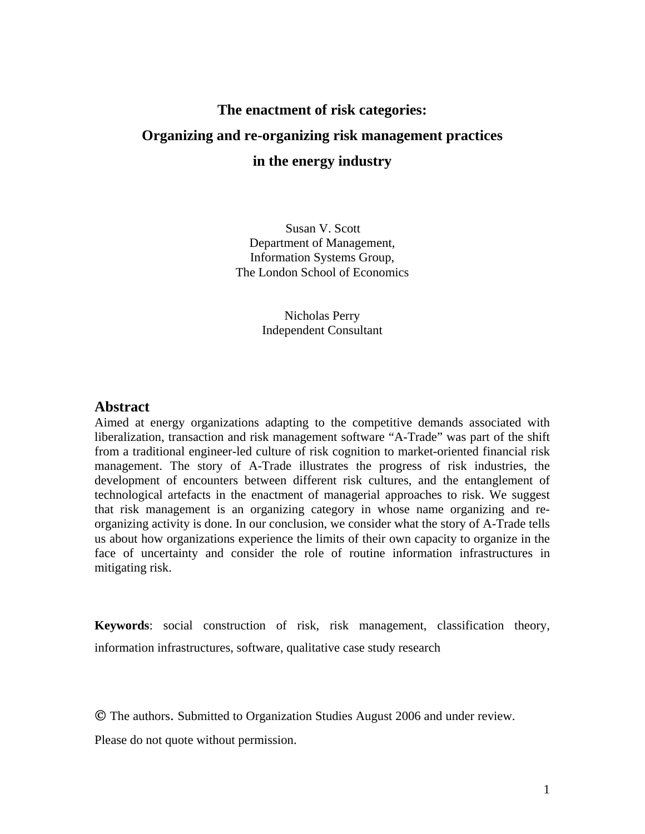## **The enactment of risk categories: Organizing and re-organizing risk management practices in the energy industry**

Susan V. Scott Department of Management, Information Systems Group, The London School of Economics

> Nicholas Perry Independent Consultant

#### **Abstract**

Aimed at energy organizations adapting to the competitive demands associated with liberalization, transaction and risk management software "A-Trade" was part of the shift from a traditional engineer-led culture of risk cognition to market-oriented financial risk management. The story of A-Trade illustrates the progress of risk industries, the development of encounters between different risk cultures, and the entanglement of technological artefacts in the enactment of managerial approaches to risk. We suggest that risk management is an organizing category in whose name organizing and reorganizing activity is done. In our conclusion, we consider what the story of A-Trade tells us about how organizations experience the limits of their own capacity to organize in the face of uncertainty and consider the role of routine information infrastructures in mitigating risk.

**Keywords**: social construction of risk, risk management, classification theory, information infrastructures, software, qualitative case study research

© The authors. Submitted to Organization Studies August 2006 and under review.

Please do not quote without permission.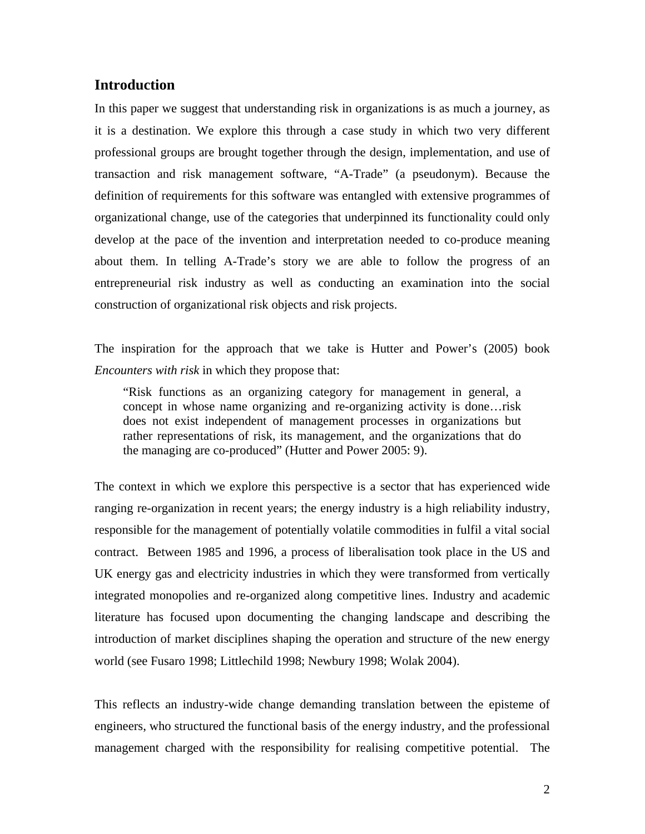### **Introduction**

In this paper we suggest that understanding risk in organizations is as much a journey, as it is a destination. We explore this through a case study in which two very different professional groups are brought together through the design, implementation, and use of transaction and risk management software, "A-Trade" (a pseudonym). Because the definition of requirements for this software was entangled with extensive programmes of organizational change, use of the categories that underpinned its functionality could only develop at the pace of the invention and interpretation needed to co-produce meaning about them. In telling A-Trade's story we are able to follow the progress of an entrepreneurial risk industry as well as conducting an examination into the social construction of organizational risk objects and risk projects.

The inspiration for the approach that we take is Hutter and Power's (2005) book *Encounters with risk* in which they propose that:

"Risk functions as an organizing category for management in general, a concept in whose name organizing and re-organizing activity is done…risk does not exist independent of management processes in organizations but rather representations of risk, its management, and the organizations that do the managing are co-produced" (Hutter and Power 2005: 9).

The context in which we explore this perspective is a sector that has experienced wide ranging re-organization in recent years; the energy industry is a high reliability industry, responsible for the management of potentially volatile commodities in fulfil a vital social contract. Between 1985 and 1996, a process of liberalisation took place in the US and UK energy gas and electricity industries in which they were transformed from vertically integrated monopolies and re-organized along competitive lines. Industry and academic literature has focused upon documenting the changing landscape and describing the introduction of market disciplines shaping the operation and structure of the new energy world (see Fusaro 1998; Littlechild 1998; Newbury 1998; Wolak 2004).

This reflects an industry-wide change demanding translation between the episteme of engineers, who structured the functional basis of the energy industry, and the professional management charged with the responsibility for realising competitive potential. The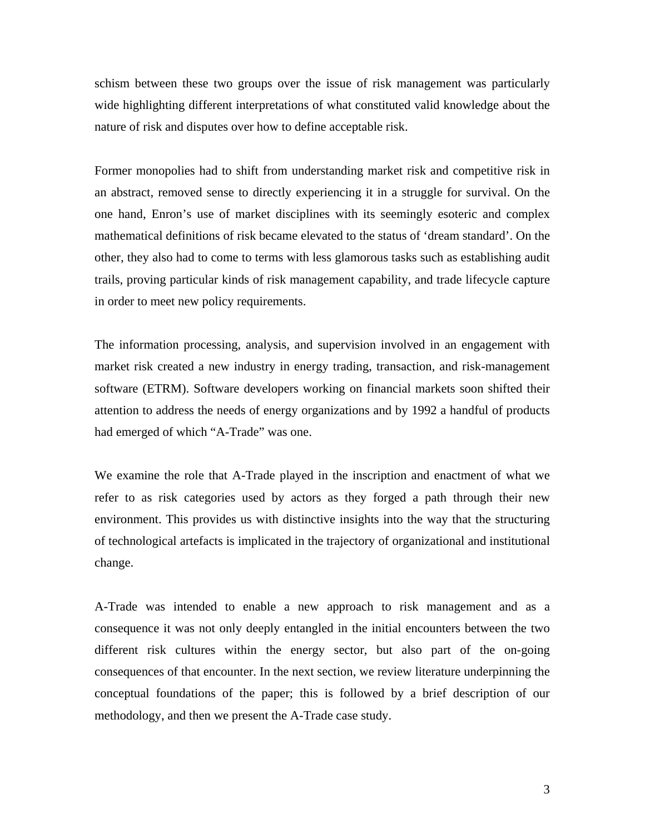schism between these two groups over the issue of risk management was particularly wide highlighting different interpretations of what constituted valid knowledge about the nature of risk and disputes over how to define acceptable risk.

Former monopolies had to shift from understanding market risk and competitive risk in an abstract, removed sense to directly experiencing it in a struggle for survival. On the one hand, Enron's use of market disciplines with its seemingly esoteric and complex mathematical definitions of risk became elevated to the status of 'dream standard'. On the other, they also had to come to terms with less glamorous tasks such as establishing audit trails, proving particular kinds of risk management capability, and trade lifecycle capture in order to meet new policy requirements.

The information processing, analysis, and supervision involved in an engagement with market risk created a new industry in energy trading, transaction, and risk-management software (ETRM). Software developers working on financial markets soon shifted their attention to address the needs of energy organizations and by 1992 a handful of products had emerged of which "A-Trade" was one.

We examine the role that A-Trade played in the inscription and enactment of what we refer to as risk categories used by actors as they forged a path through their new environment. This provides us with distinctive insights into the way that the structuring of technological artefacts is implicated in the trajectory of organizational and institutional change.

A-Trade was intended to enable a new approach to risk management and as a consequence it was not only deeply entangled in the initial encounters between the two different risk cultures within the energy sector, but also part of the on-going consequences of that encounter. In the next section, we review literature underpinning the conceptual foundations of the paper; this is followed by a brief description of our methodology, and then we present the A-Trade case study.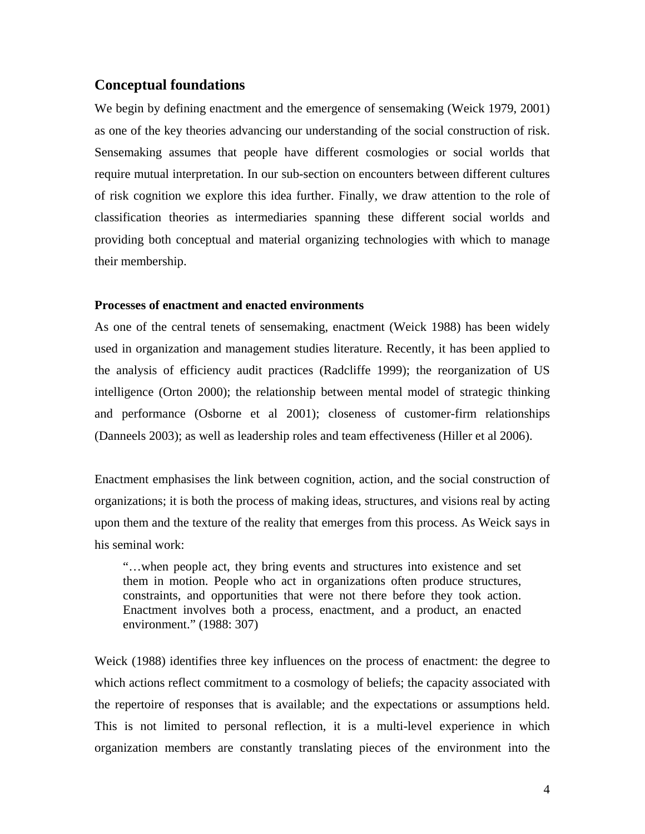#### **Conceptual foundations**

We begin by defining enactment and the emergence of sensemaking (Weick 1979, 2001) as one of the key theories advancing our understanding of the social construction of risk. Sensemaking assumes that people have different cosmologies or social worlds that require mutual interpretation. In our sub-section on encounters between different cultures of risk cognition we explore this idea further. Finally, we draw attention to the role of classification theories as intermediaries spanning these different social worlds and providing both conceptual and material organizing technologies with which to manage their membership.

#### **Processes of enactment and enacted environments**

As one of the central tenets of sensemaking, enactment (Weick 1988) has been widely used in organization and management studies literature. Recently, it has been applied to the analysis of efficiency audit practices (Radcliffe 1999); the reorganization of US intelligence (Orton 2000); the relationship between mental model of strategic thinking and performance (Osborne et al 2001); closeness of customer-firm relationships (Danneels 2003); as well as leadership roles and team effectiveness (Hiller et al 2006).

Enactment emphasises the link between cognition, action, and the social construction of organizations; it is both the process of making ideas, structures, and visions real by acting upon them and the texture of the reality that emerges from this process. As Weick says in his seminal work:

"…when people act, they bring events and structures into existence and set them in motion. People who act in organizations often produce structures, constraints, and opportunities that were not there before they took action. Enactment involves both a process, enactment, and a product, an enacted environment." (1988: 307)

Weick (1988) identifies three key influences on the process of enactment: the degree to which actions reflect commitment to a cosmology of beliefs; the capacity associated with the repertoire of responses that is available; and the expectations or assumptions held. This is not limited to personal reflection, it is a multi-level experience in which organization members are constantly translating pieces of the environment into the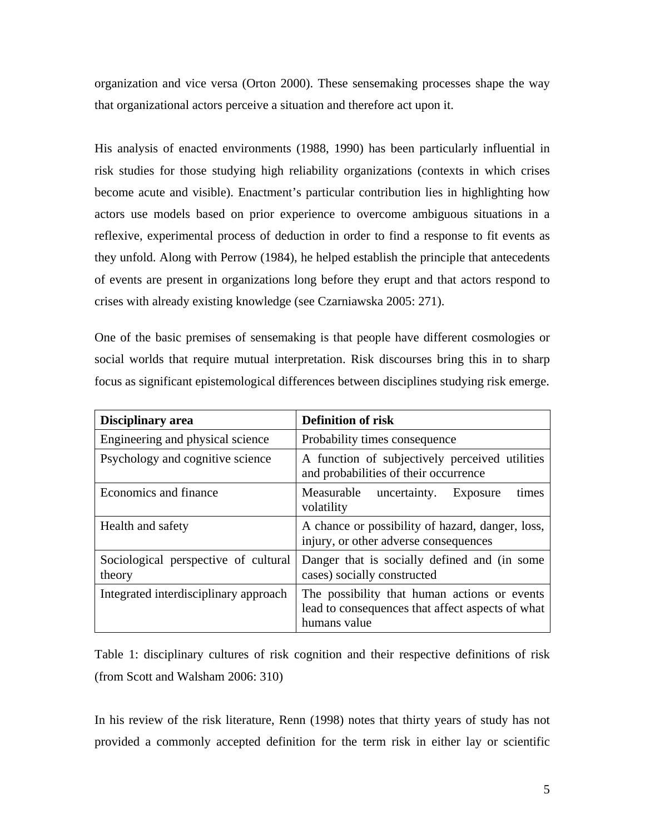organization and vice versa (Orton 2000). These sensemaking processes shape the way that organizational actors perceive a situation and therefore act upon it.

His analysis of enacted environments (1988, 1990) has been particularly influential in risk studies for those studying high reliability organizations (contexts in which crises become acute and visible). Enactment's particular contribution lies in highlighting how actors use models based on prior experience to overcome ambiguous situations in a reflexive, experimental process of deduction in order to find a response to fit events as they unfold. Along with Perrow (1984), he helped establish the principle that antecedents of events are present in organizations long before they erupt and that actors respond to crises with already existing knowledge (see Czarniawska 2005: 271).

One of the basic premises of sensemaking is that people have different cosmologies or social worlds that require mutual interpretation. Risk discourses bring this in to sharp focus as significant epistemological differences between disciplines studying risk emerge.

| Disciplinary area                              | <b>Definition of risk</b>                                                                                        |
|------------------------------------------------|------------------------------------------------------------------------------------------------------------------|
| Engineering and physical science               | Probability times consequence                                                                                    |
| Psychology and cognitive science               | A function of subjectively perceived utilities<br>and probabilities of their occurrence                          |
| Economics and finance                          | Measurable uncertainty.<br>times<br>Exposure<br>volatility                                                       |
| Health and safety                              | A chance or possibility of hazard, danger, loss,<br>injury, or other adverse consequences                        |
| Sociological perspective of cultural<br>theory | Danger that is socially defined and (in some<br>cases) socially constructed                                      |
| Integrated interdisciplinary approach          | The possibility that human actions or events<br>lead to consequences that affect aspects of what<br>humans value |

Table 1: disciplinary cultures of risk cognition and their respective definitions of risk (from Scott and Walsham 2006: 310)

In his review of the risk literature, Renn (1998) notes that thirty years of study has not provided a commonly accepted definition for the term risk in either lay or scientific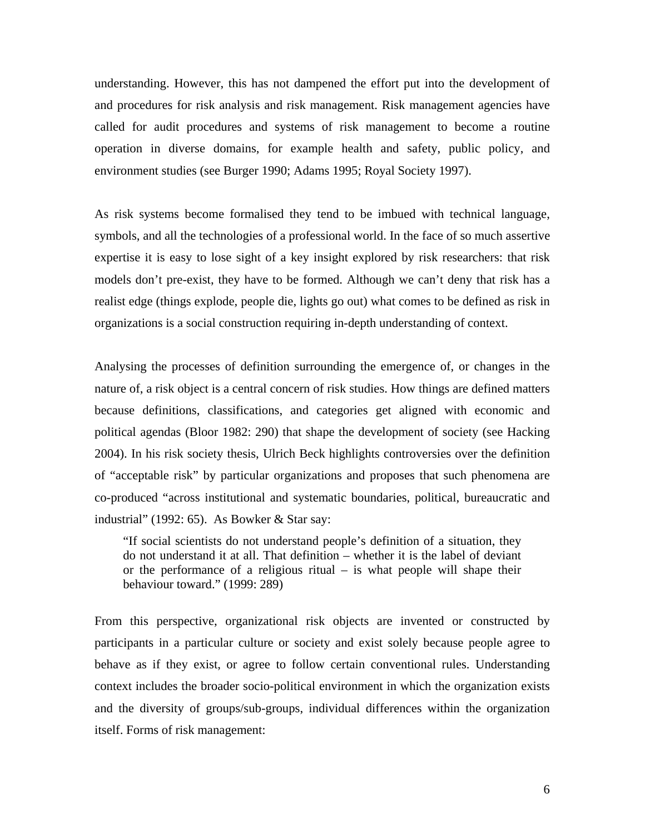understanding. However, this has not dampened the effort put into the development of and procedures for risk analysis and risk management. Risk management agencies have called for audit procedures and systems of risk management to become a routine operation in diverse domains, for example health and safety, public policy, and environment studies (see Burger 1990; Adams 1995; Royal Society 1997).

As risk systems become formalised they tend to be imbued with technical language, symbols, and all the technologies of a professional world. In the face of so much assertive expertise it is easy to lose sight of a key insight explored by risk researchers: that risk models don't pre-exist, they have to be formed. Although we can't deny that risk has a realist edge (things explode, people die, lights go out) what comes to be defined as risk in organizations is a social construction requiring in-depth understanding of context.

Analysing the processes of definition surrounding the emergence of, or changes in the nature of, a risk object is a central concern of risk studies. How things are defined matters because definitions, classifications, and categories get aligned with economic and political agendas (Bloor 1982: 290) that shape the development of society (see Hacking 2004). In his risk society thesis, Ulrich Beck highlights controversies over the definition of "acceptable risk" by particular organizations and proposes that such phenomena are co-produced "across institutional and systematic boundaries, political, bureaucratic and industrial" (1992: 65). As Bowker & Star say:

"If social scientists do not understand people's definition of a situation, they do not understand it at all. That definition – whether it is the label of deviant or the performance of a religious ritual – is what people will shape their behaviour toward." (1999: 289)

From this perspective, organizational risk objects are invented or constructed by participants in a particular culture or society and exist solely because people agree to behave as if they exist, or agree to follow certain conventional rules. Understanding context includes the broader socio-political environment in which the organization exists and the diversity of groups/sub-groups, individual differences within the organization itself. Forms of risk management: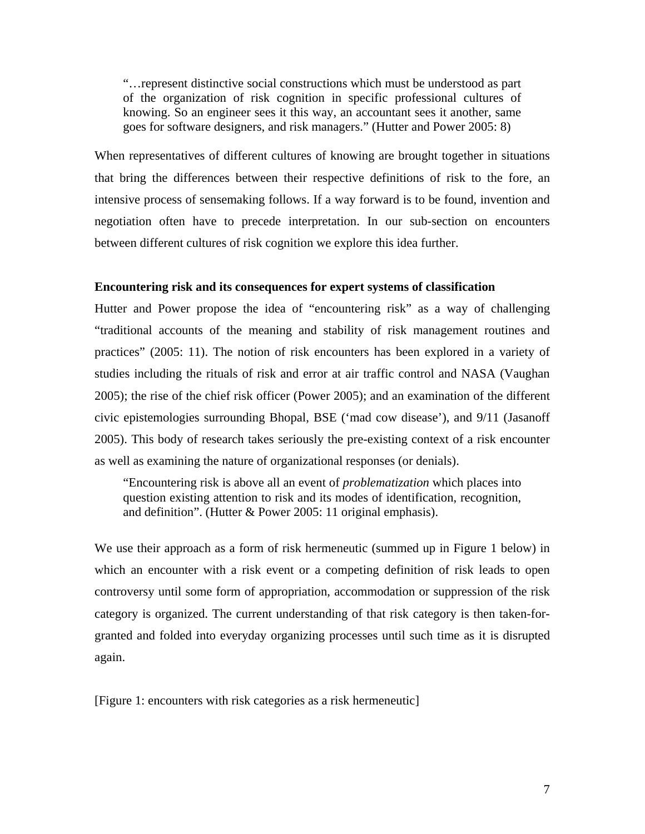"…represent distinctive social constructions which must be understood as part of the organization of risk cognition in specific professional cultures of knowing. So an engineer sees it this way, an accountant sees it another, same goes for software designers, and risk managers." (Hutter and Power 2005: 8)

When representatives of different cultures of knowing are brought together in situations that bring the differences between their respective definitions of risk to the fore, an intensive process of sensemaking follows. If a way forward is to be found, invention and negotiation often have to precede interpretation. In our sub-section on encounters between different cultures of risk cognition we explore this idea further.

#### **Encountering risk and its consequences for expert systems of classification**

Hutter and Power propose the idea of "encountering risk" as a way of challenging "traditional accounts of the meaning and stability of risk management routines and practices" (2005: 11). The notion of risk encounters has been explored in a variety of studies including the rituals of risk and error at air traffic control and NASA (Vaughan 2005); the rise of the chief risk officer (Power 2005); and an examination of the different civic epistemologies surrounding Bhopal, BSE ('mad cow disease'), and 9/11 (Jasanoff 2005). This body of research takes seriously the pre-existing context of a risk encounter as well as examining the nature of organizational responses (or denials).

"Encountering risk is above all an event of *problematization* which places into question existing attention to risk and its modes of identification, recognition, and definition". (Hutter & Power 2005: 11 original emphasis).

We use their approach as a form of risk hermeneutic (summed up in Figure 1 below) in which an encounter with a risk event or a competing definition of risk leads to open controversy until some form of appropriation, accommodation or suppression of the risk category is organized. The current understanding of that risk category is then taken-forgranted and folded into everyday organizing processes until such time as it is disrupted again.

[Figure 1: encounters with risk categories as a risk hermeneutic]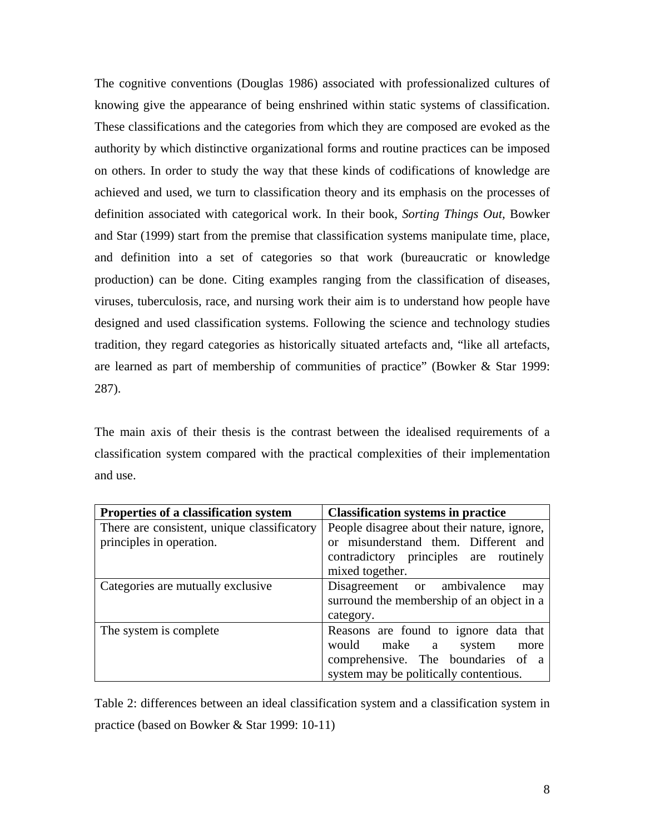The cognitive conventions (Douglas 1986) associated with professionalized cultures of knowing give the appearance of being enshrined within static systems of classification. These classifications and the categories from which they are composed are evoked as the authority by which distinctive organizational forms and routine practices can be imposed on others. In order to study the way that these kinds of codifications of knowledge are achieved and used, we turn to classification theory and its emphasis on the processes of definition associated with categorical work. In their book, *Sorting Things Out,* Bowker and Star (1999) start from the premise that classification systems manipulate time, place, and definition into a set of categories so that work (bureaucratic or knowledge production) can be done. Citing examples ranging from the classification of diseases, viruses, tuberculosis, race, and nursing work their aim is to understand how people have designed and used classification systems. Following the science and technology studies tradition, they regard categories as historically situated artefacts and, "like all artefacts, are learned as part of membership of communities of practice" (Bowker & Star 1999: 287).

The main axis of their thesis is the contrast between the idealised requirements of a classification system compared with the practical complexities of their implementation and use.

| Properties of a classification system       | <b>Classification systems in practice</b>   |
|---------------------------------------------|---------------------------------------------|
| There are consistent, unique classificatory | People disagree about their nature, ignore, |
| principles in operation.                    | or misunderstand them. Different and        |
|                                             | contradictory principles are routinely      |
|                                             | mixed together.                             |
| Categories are mutually exclusive           | Disagreement or ambivalence<br>may          |
|                                             | surround the membership of an object in a   |
|                                             | category.                                   |
| The system is complete                      | Reasons are found to ignore data that       |
|                                             | would make a system<br>more                 |
|                                             | comprehensive. The boundaries of a          |
|                                             | system may be politically contentious.      |

Table 2: differences between an ideal classification system and a classification system in practice (based on Bowker & Star 1999: 10-11)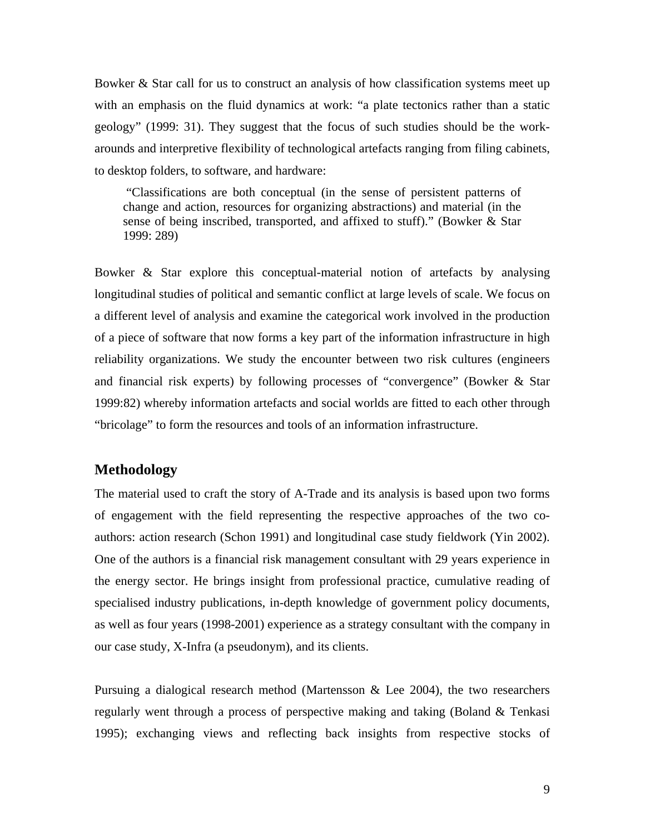Bowker & Star call for us to construct an analysis of how classification systems meet up with an emphasis on the fluid dynamics at work: "a plate tectonics rather than a static geology" (1999: 31). They suggest that the focus of such studies should be the workarounds and interpretive flexibility of technological artefacts ranging from filing cabinets, to desktop folders, to software, and hardware:

"Classifications are both conceptual (in the sense of persistent patterns of change and action, resources for organizing abstractions) and material (in the sense of being inscribed, transported, and affixed to stuff)." (Bowker & Star 1999: 289)

Bowker & Star explore this conceptual-material notion of artefacts by analysing longitudinal studies of political and semantic conflict at large levels of scale. We focus on a different level of analysis and examine the categorical work involved in the production of a piece of software that now forms a key part of the information infrastructure in high reliability organizations. We study the encounter between two risk cultures (engineers and financial risk experts) by following processes of "convergence" (Bowker & Star 1999:82) whereby information artefacts and social worlds are fitted to each other through "bricolage" to form the resources and tools of an information infrastructure.

#### **Methodology**

The material used to craft the story of A-Trade and its analysis is based upon two forms of engagement with the field representing the respective approaches of the two coauthors: action research (Schon 1991) and longitudinal case study fieldwork (Yin 2002). One of the authors is a financial risk management consultant with 29 years experience in the energy sector. He brings insight from professional practice, cumulative reading of specialised industry publications, in-depth knowledge of government policy documents, as well as four years (1998-2001) experience as a strategy consultant with the company in our case study, X-Infra (a pseudonym), and its clients.

Pursuing a dialogical research method (Martensson & Lee 2004), the two researchers regularly went through a process of perspective making and taking (Boland & Tenkasi 1995); exchanging views and reflecting back insights from respective stocks of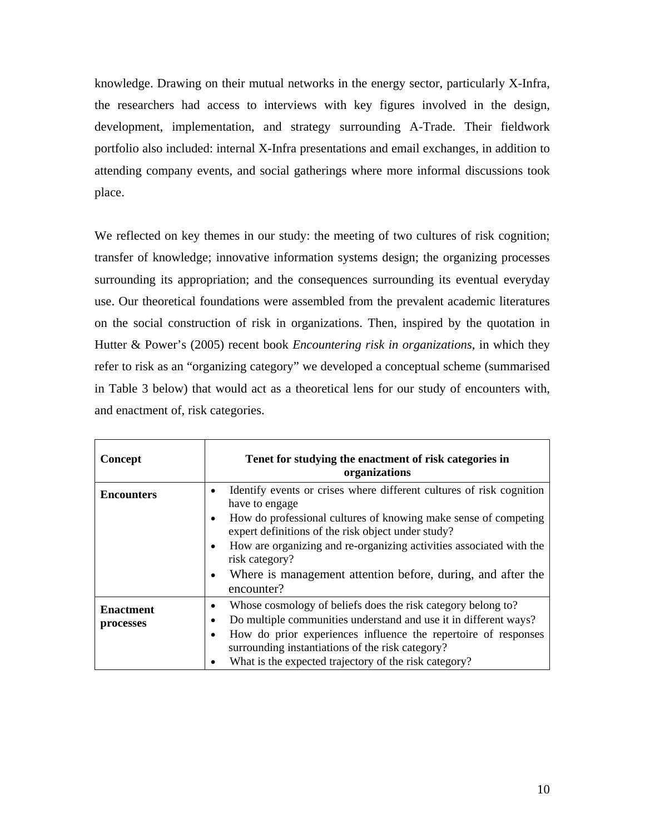knowledge. Drawing on their mutual networks in the energy sector, particularly X-Infra, the researchers had access to interviews with key figures involved in the design, development, implementation, and strategy surrounding A-Trade. Their fieldwork portfolio also included: internal X-Infra presentations and email exchanges, in addition to attending company events, and social gatherings where more informal discussions took place.

We reflected on key themes in our study: the meeting of two cultures of risk cognition; transfer of knowledge; innovative information systems design; the organizing processes surrounding its appropriation; and the consequences surrounding its eventual everyday use. Our theoretical foundations were assembled from the prevalent academic literatures on the social construction of risk in organizations. Then, inspired by the quotation in Hutter & Power's (2005) recent book *Encountering risk in organizations,* in which they refer to risk as an "organizing category" we developed a conceptual scheme (summarised in Table 3 below) that would act as a theoretical lens for our study of encounters with, and enactment of, risk categories.

| Concept                       | Tenet for studying the enactment of risk categories in<br>organizations                                                                                                                                                                                                               |
|-------------------------------|---------------------------------------------------------------------------------------------------------------------------------------------------------------------------------------------------------------------------------------------------------------------------------------|
| <b>Encounters</b>             | Identify events or crises where different cultures of risk cognition<br>$\bullet$<br>have to engage                                                                                                                                                                                   |
|                               | How do professional cultures of knowing make sense of competing<br>٠<br>expert definitions of the risk object under study?                                                                                                                                                            |
|                               | How are organizing and re-organizing activities associated with the<br>$\bullet$<br>risk category?                                                                                                                                                                                    |
|                               | Where is management attention before, during, and after the<br>$\bullet$<br>encounter?                                                                                                                                                                                                |
| <b>Enactment</b><br>processes | Whose cosmology of beliefs does the risk category belong to?<br>٠<br>Do multiple communities understand and use it in different ways?<br>$\bullet$<br>How do prior experiences influence the repertoire of responses<br>$\bullet$<br>surrounding instantiations of the risk category? |
|                               | What is the expected trajectory of the risk category?<br>٠                                                                                                                                                                                                                            |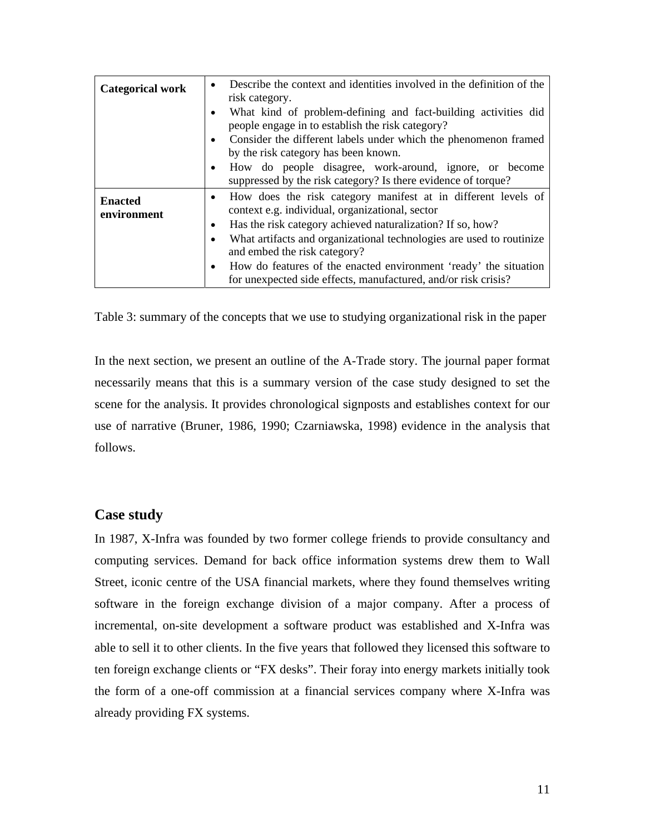| <b>Categorical work</b>       | Describe the context and identities involved in the definition of the<br>$\bullet$<br>risk category.<br>What kind of problem-defining and fact-building activities did<br>$\bullet$<br>people engage in to establish the risk category?<br>Consider the different labels under which the phenomenon framed<br>$\bullet$<br>by the risk category has been known.                                        |
|-------------------------------|--------------------------------------------------------------------------------------------------------------------------------------------------------------------------------------------------------------------------------------------------------------------------------------------------------------------------------------------------------------------------------------------------------|
|                               | • How do people disagree, work-around, ignore, or become<br>suppressed by the risk category? Is there evidence of torque?                                                                                                                                                                                                                                                                              |
| <b>Enacted</b><br>environment | How does the risk category manifest at in different levels of<br>٠<br>context e.g. individual, organizational, sector<br>Has the risk category achieved naturalization? If so, how?<br>$\bullet$<br>What artifacts and organizational technologies are used to routinize<br>$\bullet$<br>and embed the risk category?<br>How do features of the enacted environment 'ready' the situation<br>$\bullet$ |
|                               | for unexpected side effects, manufactured, and/or risk crisis?                                                                                                                                                                                                                                                                                                                                         |

Table 3: summary of the concepts that we use to studying organizational risk in the paper

In the next section, we present an outline of the A-Trade story. The journal paper format necessarily means that this is a summary version of the case study designed to set the scene for the analysis. It provides chronological signposts and establishes context for our use of narrative (Bruner, 1986, 1990; Czarniawska, 1998) evidence in the analysis that follows.

#### **Case study**

In 1987, X-Infra was founded by two former college friends to provide consultancy and computing services. Demand for back office information systems drew them to Wall Street, iconic centre of the USA financial markets, where they found themselves writing software in the foreign exchange division of a major company. After a process of incremental, on-site development a software product was established and X-Infra was able to sell it to other clients. In the five years that followed they licensed this software to ten foreign exchange clients or "FX desks". Their foray into energy markets initially took the form of a one-off commission at a financial services company where X-Infra was already providing FX systems.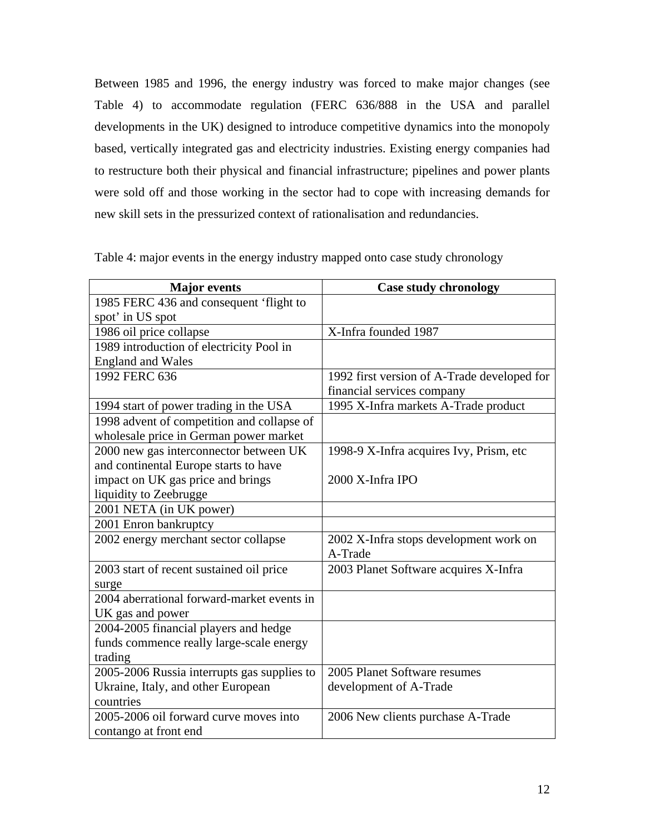Between 1985 and 1996, the energy industry was forced to make major changes (see Table 4) to accommodate regulation (FERC 636/888 in the USA and parallel developments in the UK) designed to introduce competitive dynamics into the monopoly based, vertically integrated gas and electricity industries. Existing energy companies had to restructure both their physical and financial infrastructure; pipelines and power plants were sold off and those working in the sector had to cope with increasing demands for new skill sets in the pressurized context of rationalisation and redundancies.

| <b>Major</b> events                         | <b>Case study chronology</b>                |
|---------------------------------------------|---------------------------------------------|
| 1985 FERC 436 and consequent 'flight to     |                                             |
| spot' in US spot                            |                                             |
| 1986 oil price collapse                     | X-Infra founded 1987                        |
| 1989 introduction of electricity Pool in    |                                             |
| <b>England and Wales</b>                    |                                             |
| 1992 FERC 636                               | 1992 first version of A-Trade developed for |
|                                             | financial services company                  |
| 1994 start of power trading in the USA      | 1995 X-Infra markets A-Trade product        |
| 1998 advent of competition and collapse of  |                                             |
| wholesale price in German power market      |                                             |
| 2000 new gas interconnector between UK      | 1998-9 X-Infra acquires Ivy, Prism, etc     |
| and continental Europe starts to have       |                                             |
| impact on UK gas price and brings           | 2000 X-Infra IPO                            |
| liquidity to Zeebrugge                      |                                             |
| 2001 NETA (in UK power)                     |                                             |
| 2001 Enron bankruptcy                       |                                             |
| 2002 energy merchant sector collapse        | 2002 X-Infra stops development work on      |
|                                             | A-Trade                                     |
| 2003 start of recent sustained oil price    | 2003 Planet Software acquires X-Infra       |
| surge                                       |                                             |
| 2004 aberrational forward-market events in  |                                             |
| UK gas and power                            |                                             |
| 2004-2005 financial players and hedge       |                                             |
| funds commence really large-scale energy    |                                             |
| trading                                     |                                             |
| 2005-2006 Russia interrupts gas supplies to | 2005 Planet Software resumes                |
| Ukraine, Italy, and other European          | development of A-Trade                      |
| countries                                   |                                             |
| 2005-2006 oil forward curve moves into      | 2006 New clients purchase A-Trade           |
| contango at front end                       |                                             |

Table 4: major events in the energy industry mapped onto case study chronology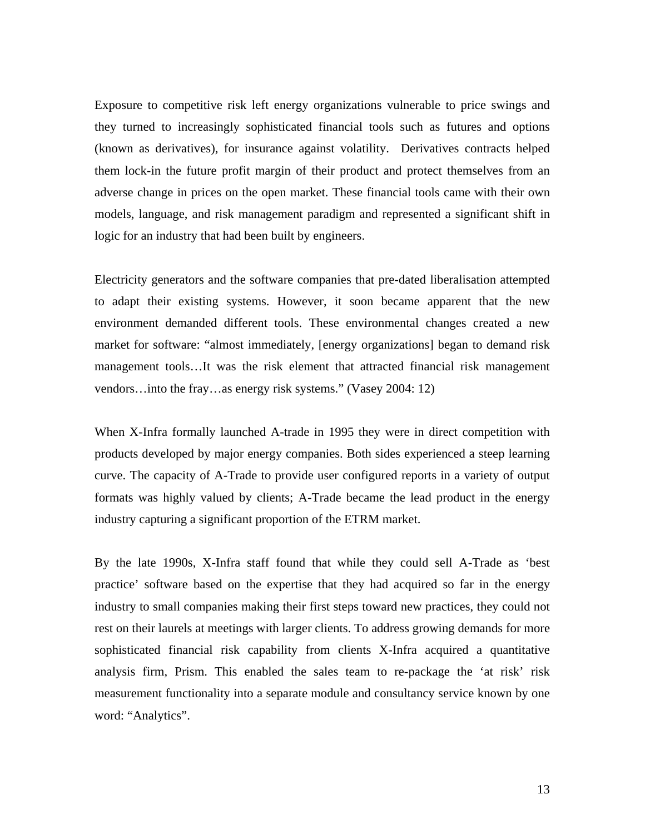Exposure to competitive risk left energy organizations vulnerable to price swings and they turned to increasingly sophisticated financial tools such as futures and options (known as derivatives), for insurance against volatility. Derivatives contracts helped them lock-in the future profit margin of their product and protect themselves from an adverse change in prices on the open market. These financial tools came with their own models, language, and risk management paradigm and represented a significant shift in logic for an industry that had been built by engineers.

Electricity generators and the software companies that pre-dated liberalisation attempted to adapt their existing systems. However, it soon became apparent that the new environment demanded different tools. These environmental changes created a new market for software: "almost immediately, [energy organizations] began to demand risk management tools…It was the risk element that attracted financial risk management vendors…into the fray…as energy risk systems." (Vasey 2004: 12)

When X-Infra formally launched A-trade in 1995 they were in direct competition with products developed by major energy companies. Both sides experienced a steep learning curve. The capacity of A-Trade to provide user configured reports in a variety of output formats was highly valued by clients; A-Trade became the lead product in the energy industry capturing a significant proportion of the ETRM market.

By the late 1990s, X-Infra staff found that while they could sell A-Trade as 'best practice' software based on the expertise that they had acquired so far in the energy industry to small companies making their first steps toward new practices, they could not rest on their laurels at meetings with larger clients. To address growing demands for more sophisticated financial risk capability from clients X-Infra acquired a quantitative analysis firm, Prism. This enabled the sales team to re-package the 'at risk' risk measurement functionality into a separate module and consultancy service known by one word: "Analytics".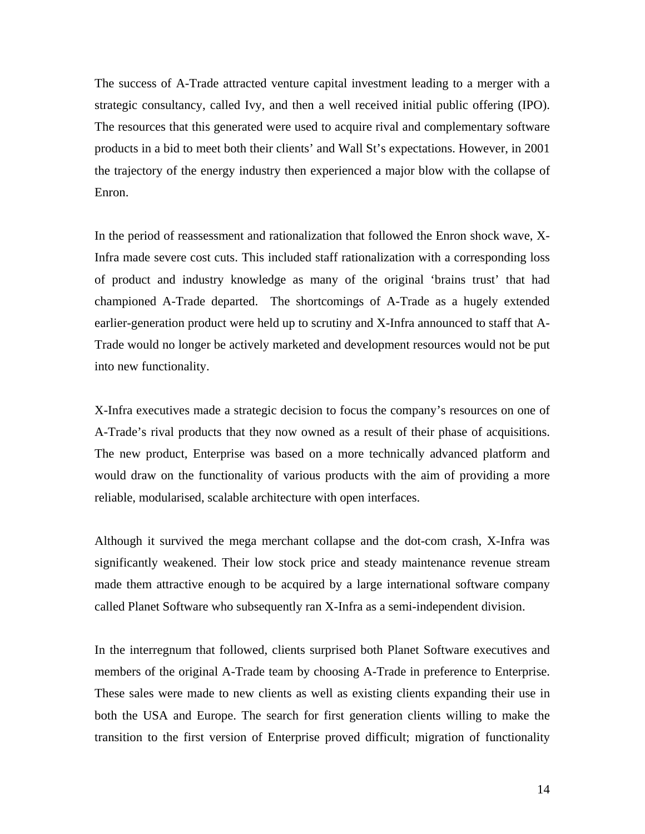The success of A-Trade attracted venture capital investment leading to a merger with a strategic consultancy, called Ivy, and then a well received initial public offering (IPO). The resources that this generated were used to acquire rival and complementary software products in a bid to meet both their clients' and Wall St's expectations. However, in 2001 the trajectory of the energy industry then experienced a major blow with the collapse of Enron.

In the period of reassessment and rationalization that followed the Enron shock wave, X-Infra made severe cost cuts. This included staff rationalization with a corresponding loss of product and industry knowledge as many of the original 'brains trust' that had championed A-Trade departed. The shortcomings of A-Trade as a hugely extended earlier-generation product were held up to scrutiny and X-Infra announced to staff that A-Trade would no longer be actively marketed and development resources would not be put into new functionality.

X-Infra executives made a strategic decision to focus the company's resources on one of A-Trade's rival products that they now owned as a result of their phase of acquisitions. The new product, Enterprise was based on a more technically advanced platform and would draw on the functionality of various products with the aim of providing a more reliable, modularised, scalable architecture with open interfaces.

Although it survived the mega merchant collapse and the dot-com crash, X-Infra was significantly weakened. Their low stock price and steady maintenance revenue stream made them attractive enough to be acquired by a large international software company called Planet Software who subsequently ran X-Infra as a semi-independent division.

In the interregnum that followed, clients surprised both Planet Software executives and members of the original A-Trade team by choosing A-Trade in preference to Enterprise. These sales were made to new clients as well as existing clients expanding their use in both the USA and Europe. The search for first generation clients willing to make the transition to the first version of Enterprise proved difficult; migration of functionality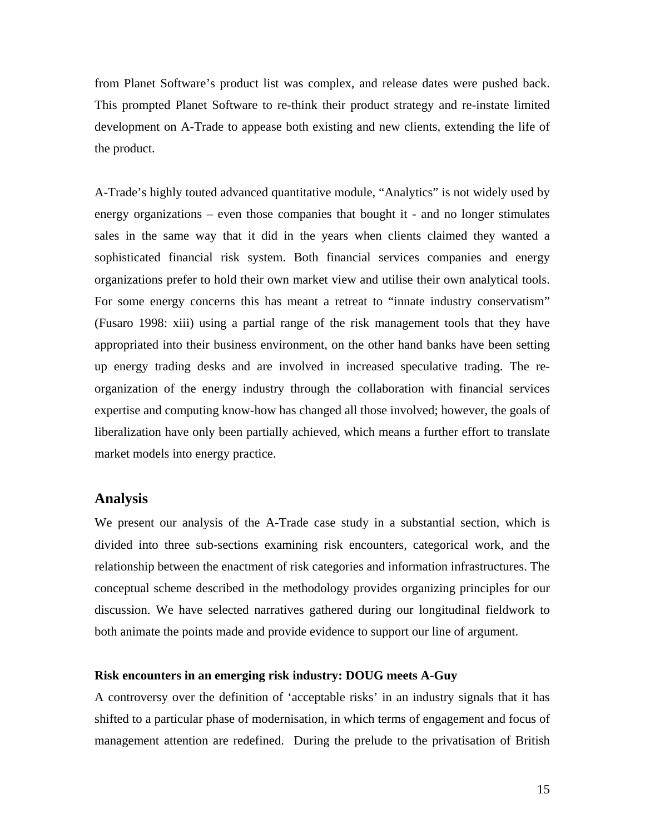from Planet Software's product list was complex, and release dates were pushed back. This prompted Planet Software to re-think their product strategy and re-instate limited development on A-Trade to appease both existing and new clients, extending the life of the product.

A-Trade's highly touted advanced quantitative module, "Analytics" is not widely used by energy organizations – even those companies that bought it - and no longer stimulates sales in the same way that it did in the years when clients claimed they wanted a sophisticated financial risk system. Both financial services companies and energy organizations prefer to hold their own market view and utilise their own analytical tools. For some energy concerns this has meant a retreat to "innate industry conservatism" (Fusaro 1998: xiii) using a partial range of the risk management tools that they have appropriated into their business environment, on the other hand banks have been setting up energy trading desks and are involved in increased speculative trading. The reorganization of the energy industry through the collaboration with financial services expertise and computing know-how has changed all those involved; however, the goals of liberalization have only been partially achieved, which means a further effort to translate market models into energy practice.

#### **Analysis**

We present our analysis of the A-Trade case study in a substantial section, which is divided into three sub-sections examining risk encounters, categorical work, and the relationship between the enactment of risk categories and information infrastructures. The conceptual scheme described in the methodology provides organizing principles for our discussion. We have selected narratives gathered during our longitudinal fieldwork to both animate the points made and provide evidence to support our line of argument.

#### **Risk encounters in an emerging risk industry: DOUG meets A-Guy**

A controversy over the definition of 'acceptable risks' in an industry signals that it has shifted to a particular phase of modernisation, in which terms of engagement and focus of management attention are redefined. During the prelude to the privatisation of British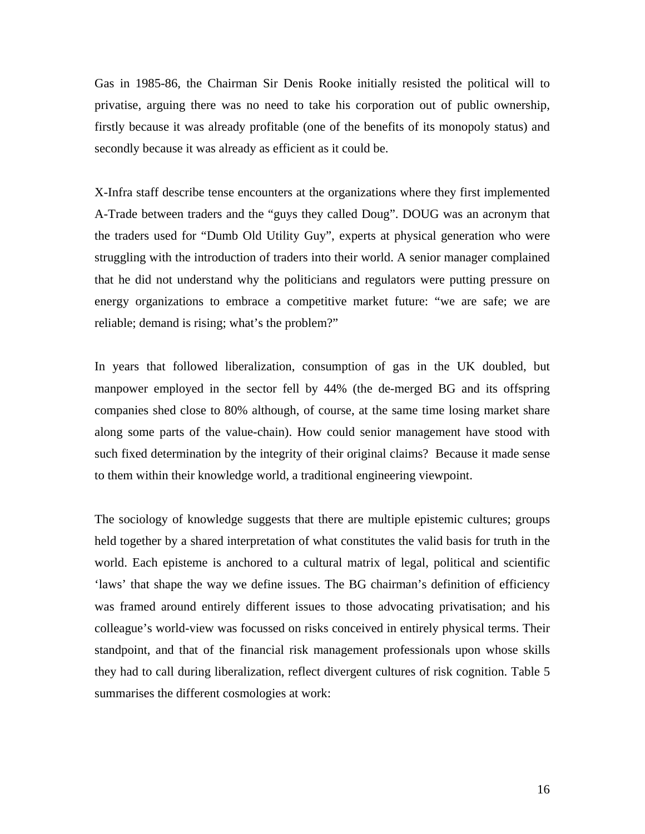Gas in 1985-86, the Chairman Sir Denis Rooke initially resisted the political will to privatise, arguing there was no need to take his corporation out of public ownership, firstly because it was already profitable (one of the benefits of its monopoly status) and secondly because it was already as efficient as it could be.

X-Infra staff describe tense encounters at the organizations where they first implemented A-Trade between traders and the "guys they called Doug". DOUG was an acronym that the traders used for "Dumb Old Utility Guy", experts at physical generation who were struggling with the introduction of traders into their world. A senior manager complained that he did not understand why the politicians and regulators were putting pressure on energy organizations to embrace a competitive market future: "we are safe; we are reliable; demand is rising; what's the problem?"

In years that followed liberalization, consumption of gas in the UK doubled, but manpower employed in the sector fell by 44% (the de-merged BG and its offspring companies shed close to 80% although, of course, at the same time losing market share along some parts of the value-chain). How could senior management have stood with such fixed determination by the integrity of their original claims? Because it made sense to them within their knowledge world, a traditional engineering viewpoint.

The sociology of knowledge suggests that there are multiple epistemic cultures; groups held together by a shared interpretation of what constitutes the valid basis for truth in the world. Each episteme is anchored to a cultural matrix of legal, political and scientific 'laws' that shape the way we define issues. The BG chairman's definition of efficiency was framed around entirely different issues to those advocating privatisation; and his colleague's world-view was focussed on risks conceived in entirely physical terms. Their standpoint, and that of the financial risk management professionals upon whose skills they had to call during liberalization, reflect divergent cultures of risk cognition. Table 5 summarises the different cosmologies at work: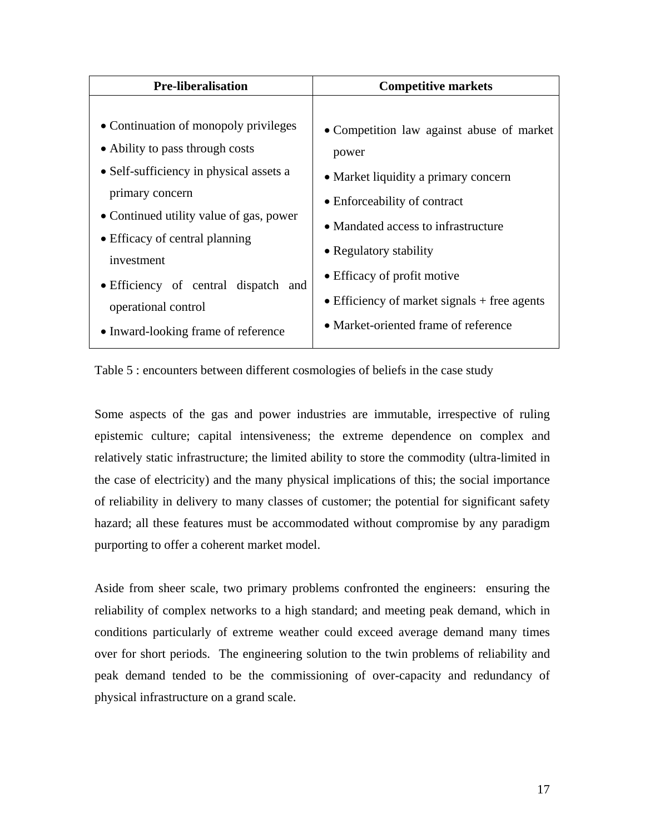| <b>Pre-liberalisation</b>                                                                                                                                                                                                                                                                                                               | <b>Competitive markets</b>                                                                                                                                                                                                                                                                                                 |
|-----------------------------------------------------------------------------------------------------------------------------------------------------------------------------------------------------------------------------------------------------------------------------------------------------------------------------------------|----------------------------------------------------------------------------------------------------------------------------------------------------------------------------------------------------------------------------------------------------------------------------------------------------------------------------|
| • Continuation of monopoly privileges<br>• Ability to pass through costs<br>• Self-sufficiency in physical assets a<br>primary concern<br>• Continued utility value of gas, power<br>• Efficacy of central planning<br>investment<br>• Efficiency of central dispatch and<br>operational control<br>• Inward-looking frame of reference | • Competition law against abuse of market<br>power<br>• Market liquidity a primary concern<br>• Enforceability of contract<br>• Mandated access to infrastructure<br>• Regulatory stability<br>• Efficacy of profit motive<br>$\bullet$ Efficiency of market signals + free agents<br>• Market-oriented frame of reference |

Table 5 : encounters between different cosmologies of beliefs in the case study

Some aspects of the gas and power industries are immutable, irrespective of ruling epistemic culture; capital intensiveness; the extreme dependence on complex and relatively static infrastructure; the limited ability to store the commodity (ultra-limited in the case of electricity) and the many physical implications of this; the social importance of reliability in delivery to many classes of customer; the potential for significant safety hazard; all these features must be accommodated without compromise by any paradigm purporting to offer a coherent market model.

Aside from sheer scale, two primary problems confronted the engineers: ensuring the reliability of complex networks to a high standard; and meeting peak demand, which in conditions particularly of extreme weather could exceed average demand many times over for short periods. The engineering solution to the twin problems of reliability and peak demand tended to be the commissioning of over-capacity and redundancy of physical infrastructure on a grand scale.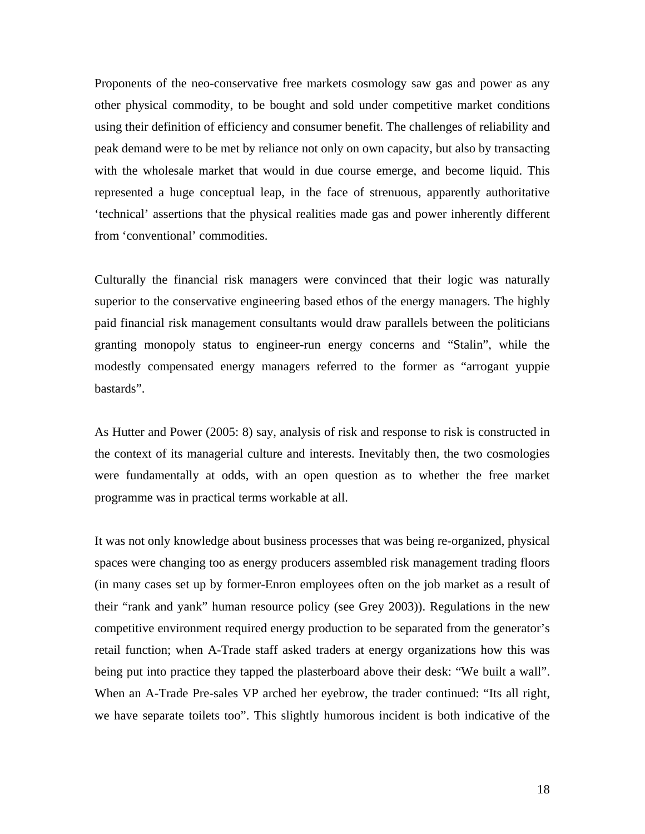Proponents of the neo-conservative free markets cosmology saw gas and power as any other physical commodity, to be bought and sold under competitive market conditions using their definition of efficiency and consumer benefit. The challenges of reliability and peak demand were to be met by reliance not only on own capacity, but also by transacting with the wholesale market that would in due course emerge, and become liquid. This represented a huge conceptual leap, in the face of strenuous, apparently authoritative 'technical' assertions that the physical realities made gas and power inherently different from 'conventional' commodities.

Culturally the financial risk managers were convinced that their logic was naturally superior to the conservative engineering based ethos of the energy managers. The highly paid financial risk management consultants would draw parallels between the politicians granting monopoly status to engineer-run energy concerns and "Stalin", while the modestly compensated energy managers referred to the former as "arrogant yuppie bastards".

As Hutter and Power (2005: 8) say, analysis of risk and response to risk is constructed in the context of its managerial culture and interests. Inevitably then, the two cosmologies were fundamentally at odds, with an open question as to whether the free market programme was in practical terms workable at all.

It was not only knowledge about business processes that was being re-organized, physical spaces were changing too as energy producers assembled risk management trading floors (in many cases set up by former-Enron employees often on the job market as a result of their "rank and yank" human resource policy (see Grey 2003)). Regulations in the new competitive environment required energy production to be separated from the generator's retail function; when A-Trade staff asked traders at energy organizations how this was being put into practice they tapped the plasterboard above their desk: "We built a wall". When an A-Trade Pre-sales VP arched her eyebrow, the trader continued: "Its all right, we have separate toilets too". This slightly humorous incident is both indicative of the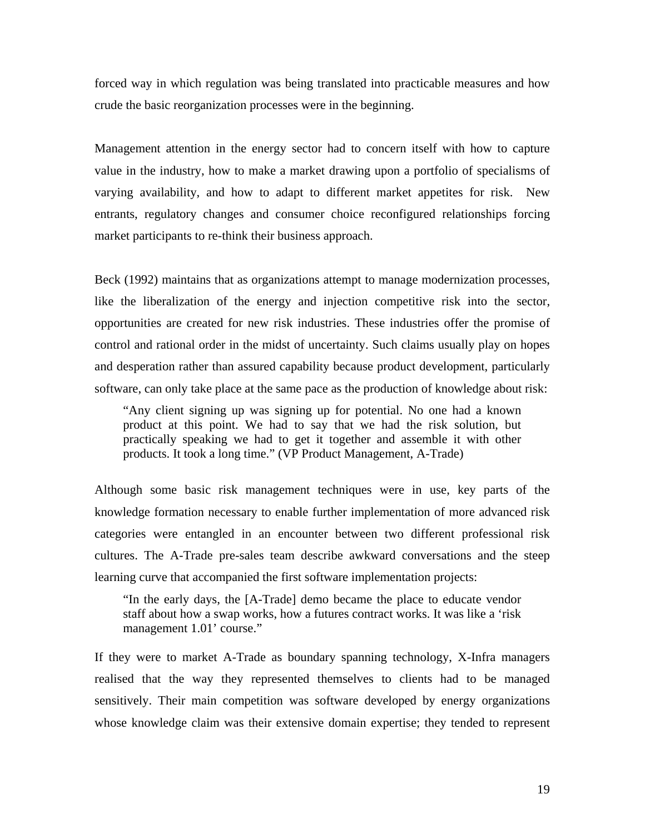forced way in which regulation was being translated into practicable measures and how crude the basic reorganization processes were in the beginning.

Management attention in the energy sector had to concern itself with how to capture value in the industry, how to make a market drawing upon a portfolio of specialisms of varying availability, and how to adapt to different market appetites for risk. New entrants, regulatory changes and consumer choice reconfigured relationships forcing market participants to re-think their business approach.

Beck (1992) maintains that as organizations attempt to manage modernization processes, like the liberalization of the energy and injection competitive risk into the sector, opportunities are created for new risk industries. These industries offer the promise of control and rational order in the midst of uncertainty. Such claims usually play on hopes and desperation rather than assured capability because product development, particularly software, can only take place at the same pace as the production of knowledge about risk:

"Any client signing up was signing up for potential. No one had a known product at this point. We had to say that we had the risk solution, but practically speaking we had to get it together and assemble it with other products. It took a long time." (VP Product Management, A-Trade)

Although some basic risk management techniques were in use, key parts of the knowledge formation necessary to enable further implementation of more advanced risk categories were entangled in an encounter between two different professional risk cultures. The A-Trade pre-sales team describe awkward conversations and the steep learning curve that accompanied the first software implementation projects:

"In the early days, the [A-Trade] demo became the place to educate vendor staff about how a swap works, how a futures contract works. It was like a 'risk management 1.01' course."

If they were to market A-Trade as boundary spanning technology, X-Infra managers realised that the way they represented themselves to clients had to be managed sensitively. Their main competition was software developed by energy organizations whose knowledge claim was their extensive domain expertise; they tended to represent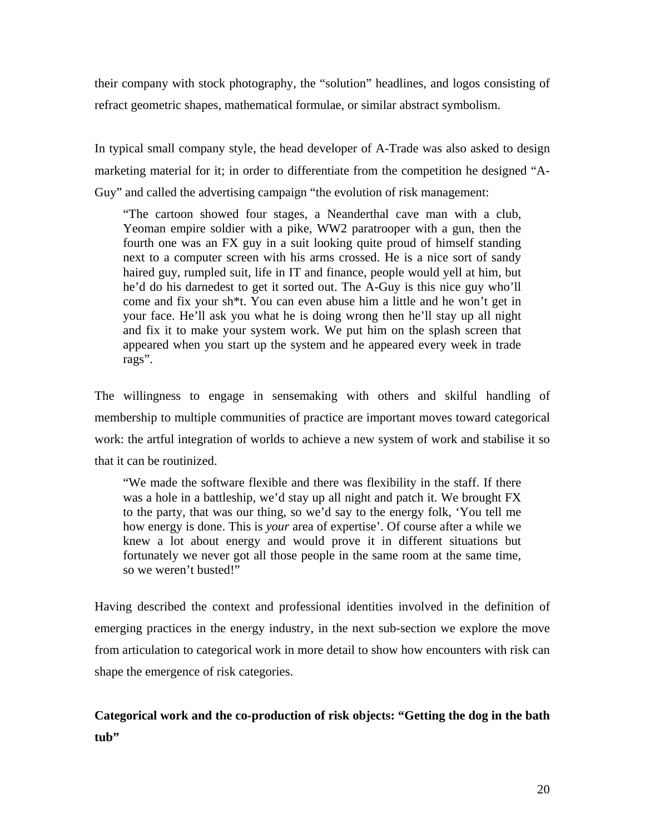their company with stock photography, the "solution" headlines, and logos consisting of refract geometric shapes, mathematical formulae, or similar abstract symbolism.

In typical small company style, the head developer of A-Trade was also asked to design marketing material for it; in order to differentiate from the competition he designed "A-Guy" and called the advertising campaign "the evolution of risk management:

"The cartoon showed four stages, a Neanderthal cave man with a club, Yeoman empire soldier with a pike, WW2 paratrooper with a gun, then the fourth one was an FX guy in a suit looking quite proud of himself standing next to a computer screen with his arms crossed. He is a nice sort of sandy haired guy, rumpled suit, life in IT and finance, people would yell at him, but he'd do his darnedest to get it sorted out. The A-Guy is this nice guy who'll come and fix your sh\*t. You can even abuse him a little and he won't get in your face. He'll ask you what he is doing wrong then he'll stay up all night and fix it to make your system work. We put him on the splash screen that appeared when you start up the system and he appeared every week in trade rags".

The willingness to engage in sensemaking with others and skilful handling of membership to multiple communities of practice are important moves toward categorical work: the artful integration of worlds to achieve a new system of work and stabilise it so that it can be routinized.

"We made the software flexible and there was flexibility in the staff. If there was a hole in a battleship, we'd stay up all night and patch it. We brought FX to the party, that was our thing, so we'd say to the energy folk, 'You tell me how energy is done. This is *your* area of expertise'. Of course after a while we knew a lot about energy and would prove it in different situations but fortunately we never got all those people in the same room at the same time, so we weren't busted!"

Having described the context and professional identities involved in the definition of emerging practices in the energy industry, in the next sub-section we explore the move from articulation to categorical work in more detail to show how encounters with risk can shape the emergence of risk categories.

### **Categorical work and the co-production of risk objects: "Getting the dog in the bath tub"**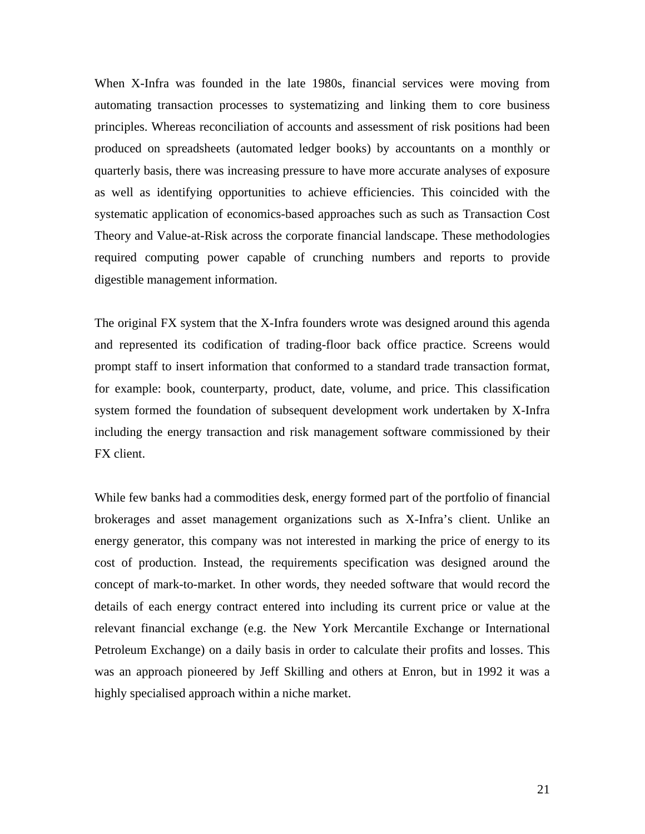When X-Infra was founded in the late 1980s, financial services were moving from automating transaction processes to systematizing and linking them to core business principles. Whereas reconciliation of accounts and assessment of risk positions had been produced on spreadsheets (automated ledger books) by accountants on a monthly or quarterly basis, there was increasing pressure to have more accurate analyses of exposure as well as identifying opportunities to achieve efficiencies. This coincided with the systematic application of economics-based approaches such as such as Transaction Cost Theory and Value-at-Risk across the corporate financial landscape. These methodologies required computing power capable of crunching numbers and reports to provide digestible management information.

The original FX system that the X-Infra founders wrote was designed around this agenda and represented its codification of trading-floor back office practice. Screens would prompt staff to insert information that conformed to a standard trade transaction format, for example: book, counterparty, product, date, volume, and price. This classification system formed the foundation of subsequent development work undertaken by X-Infra including the energy transaction and risk management software commissioned by their FX client.

While few banks had a commodities desk, energy formed part of the portfolio of financial brokerages and asset management organizations such as X-Infra's client. Unlike an energy generator, this company was not interested in marking the price of energy to its cost of production. Instead, the requirements specification was designed around the concept of mark-to-market. In other words, they needed software that would record the details of each energy contract entered into including its current price or value at the relevant financial exchange (e.g. the New York Mercantile Exchange or International Petroleum Exchange) on a daily basis in order to calculate their profits and losses. This was an approach pioneered by Jeff Skilling and others at Enron, but in 1992 it was a highly specialised approach within a niche market.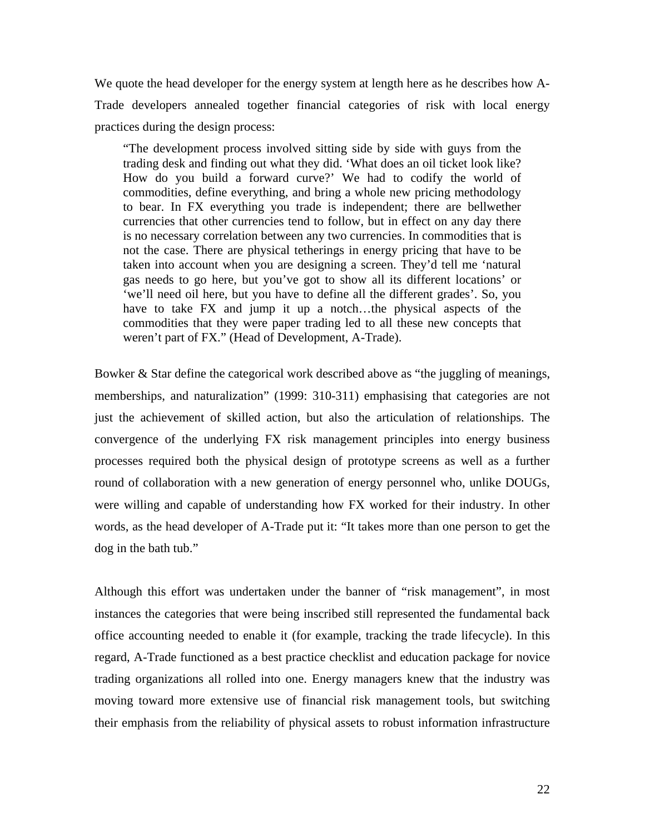We quote the head developer for the energy system at length here as he describes how A-Trade developers annealed together financial categories of risk with local energy practices during the design process:

"The development process involved sitting side by side with guys from the trading desk and finding out what they did. 'What does an oil ticket look like? How do you build a forward curve?' We had to codify the world of commodities, define everything, and bring a whole new pricing methodology to bear. In FX everything you trade is independent; there are bellwether currencies that other currencies tend to follow, but in effect on any day there is no necessary correlation between any two currencies. In commodities that is not the case. There are physical tetherings in energy pricing that have to be taken into account when you are designing a screen. They'd tell me 'natural gas needs to go here, but you've got to show all its different locations' or 'we'll need oil here, but you have to define all the different grades'. So, you have to take FX and jump it up a notch...the physical aspects of the commodities that they were paper trading led to all these new concepts that weren't part of FX." (Head of Development, A-Trade).

Bowker & Star define the categorical work described above as "the juggling of meanings, memberships, and naturalization" (1999: 310-311) emphasising that categories are not just the achievement of skilled action, but also the articulation of relationships. The convergence of the underlying FX risk management principles into energy business processes required both the physical design of prototype screens as well as a further round of collaboration with a new generation of energy personnel who, unlike DOUGs, were willing and capable of understanding how FX worked for their industry. In other words, as the head developer of A-Trade put it: "It takes more than one person to get the dog in the bath tub."

Although this effort was undertaken under the banner of "risk management", in most instances the categories that were being inscribed still represented the fundamental back office accounting needed to enable it (for example, tracking the trade lifecycle). In this regard, A-Trade functioned as a best practice checklist and education package for novice trading organizations all rolled into one. Energy managers knew that the industry was moving toward more extensive use of financial risk management tools, but switching their emphasis from the reliability of physical assets to robust information infrastructure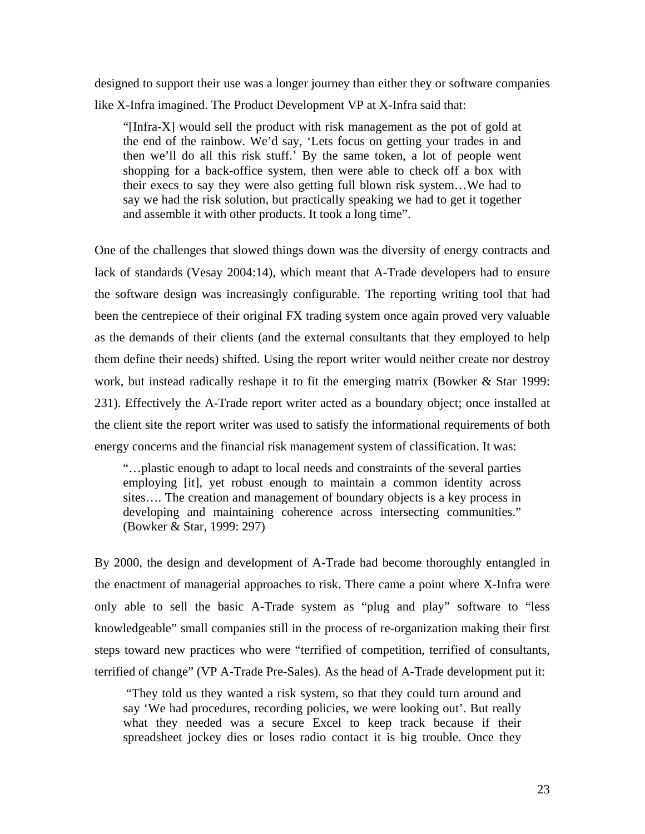designed to support their use was a longer journey than either they or software companies like X-Infra imagined. The Product Development VP at X-Infra said that:

"[Infra-X] would sell the product with risk management as the pot of gold at the end of the rainbow. We'd say, 'Lets focus on getting your trades in and then we'll do all this risk stuff.' By the same token, a lot of people went shopping for a back-office system, then were able to check off a box with their execs to say they were also getting full blown risk system…We had to say we had the risk solution, but practically speaking we had to get it together and assemble it with other products. It took a long time".

One of the challenges that slowed things down was the diversity of energy contracts and lack of standards (Vesay 2004:14), which meant that A-Trade developers had to ensure the software design was increasingly configurable. The reporting writing tool that had been the centrepiece of their original FX trading system once again proved very valuable as the demands of their clients (and the external consultants that they employed to help them define their needs) shifted. Using the report writer would neither create nor destroy work, but instead radically reshape it to fit the emerging matrix (Bowker & Star 1999: 231). Effectively the A-Trade report writer acted as a boundary object; once installed at the client site the report writer was used to satisfy the informational requirements of both energy concerns and the financial risk management system of classification. It was:

"…plastic enough to adapt to local needs and constraints of the several parties employing [it], yet robust enough to maintain a common identity across sites…. The creation and management of boundary objects is a key process in developing and maintaining coherence across intersecting communities." (Bowker & Star, 1999: 297)

By 2000, the design and development of A-Trade had become thoroughly entangled in the enactment of managerial approaches to risk. There came a point where X-Infra were only able to sell the basic A-Trade system as "plug and play" software to "less knowledgeable" small companies still in the process of re-organization making their first steps toward new practices who were "terrified of competition, terrified of consultants, terrified of change" (VP A-Trade Pre-Sales). As the head of A-Trade development put it:

"They told us they wanted a risk system, so that they could turn around and say 'We had procedures, recording policies, we were looking out'. But really what they needed was a secure Excel to keep track because if their spreadsheet jockey dies or loses radio contact it is big trouble. Once they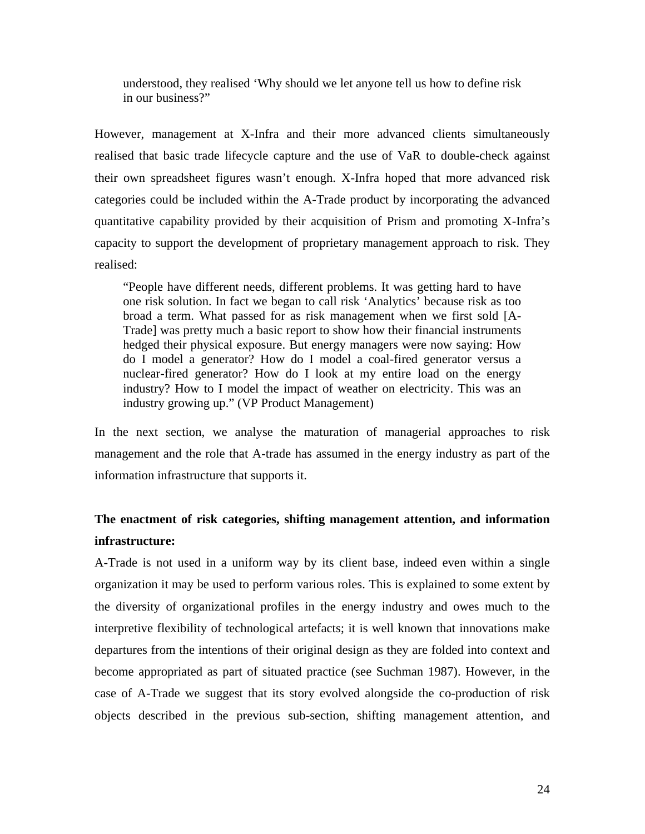understood, they realised 'Why should we let anyone tell us how to define risk in our business?"

However, management at X-Infra and their more advanced clients simultaneously realised that basic trade lifecycle capture and the use of VaR to double-check against their own spreadsheet figures wasn't enough. X-Infra hoped that more advanced risk categories could be included within the A-Trade product by incorporating the advanced quantitative capability provided by their acquisition of Prism and promoting X-Infra's capacity to support the development of proprietary management approach to risk. They realised:

"People have different needs, different problems. It was getting hard to have one risk solution. In fact we began to call risk 'Analytics' because risk as too broad a term. What passed for as risk management when we first sold [A-Trade] was pretty much a basic report to show how their financial instruments hedged their physical exposure. But energy managers were now saying: How do I model a generator? How do I model a coal-fired generator versus a nuclear-fired generator? How do I look at my entire load on the energy industry? How to I model the impact of weather on electricity. This was an industry growing up." (VP Product Management)

In the next section, we analyse the maturation of managerial approaches to risk management and the role that A-trade has assumed in the energy industry as part of the information infrastructure that supports it.

### **The enactment of risk categories, shifting management attention, and information infrastructure:**

A-Trade is not used in a uniform way by its client base, indeed even within a single organization it may be used to perform various roles. This is explained to some extent by the diversity of organizational profiles in the energy industry and owes much to the interpretive flexibility of technological artefacts; it is well known that innovations make departures from the intentions of their original design as they are folded into context and become appropriated as part of situated practice (see Suchman 1987). However, in the case of A-Trade we suggest that its story evolved alongside the co-production of risk objects described in the previous sub-section, shifting management attention, and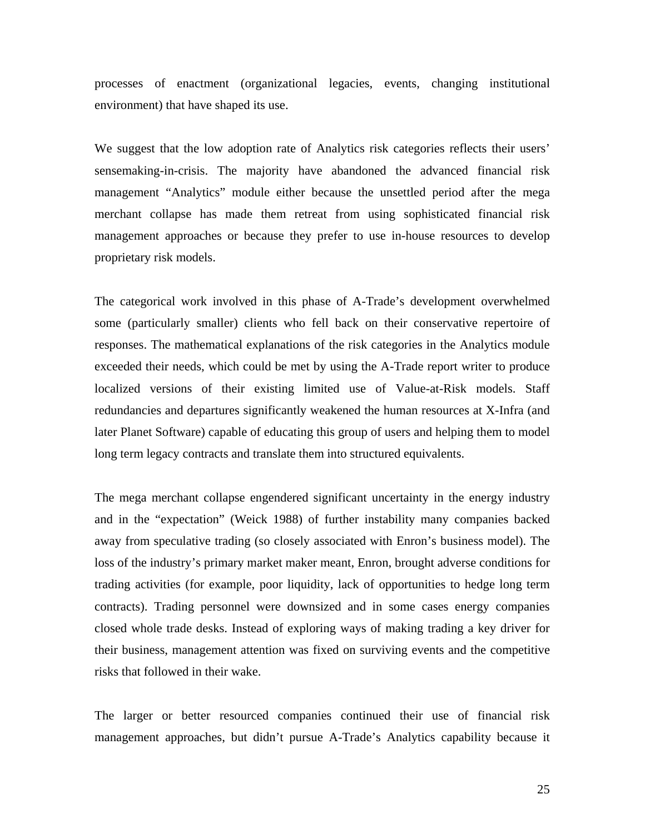processes of enactment (organizational legacies, events, changing institutional environment) that have shaped its use.

We suggest that the low adoption rate of Analytics risk categories reflects their users' sensemaking-in-crisis. The majority have abandoned the advanced financial risk management "Analytics" module either because the unsettled period after the mega merchant collapse has made them retreat from using sophisticated financial risk management approaches or because they prefer to use in-house resources to develop proprietary risk models.

The categorical work involved in this phase of A-Trade's development overwhelmed some (particularly smaller) clients who fell back on their conservative repertoire of responses. The mathematical explanations of the risk categories in the Analytics module exceeded their needs, which could be met by using the A-Trade report writer to produce localized versions of their existing limited use of Value-at-Risk models. Staff redundancies and departures significantly weakened the human resources at X-Infra (and later Planet Software) capable of educating this group of users and helping them to model long term legacy contracts and translate them into structured equivalents.

The mega merchant collapse engendered significant uncertainty in the energy industry and in the "expectation" (Weick 1988) of further instability many companies backed away from speculative trading (so closely associated with Enron's business model). The loss of the industry's primary market maker meant, Enron, brought adverse conditions for trading activities (for example, poor liquidity, lack of opportunities to hedge long term contracts). Trading personnel were downsized and in some cases energy companies closed whole trade desks. Instead of exploring ways of making trading a key driver for their business, management attention was fixed on surviving events and the competitive risks that followed in their wake.

The larger or better resourced companies continued their use of financial risk management approaches, but didn't pursue A-Trade's Analytics capability because it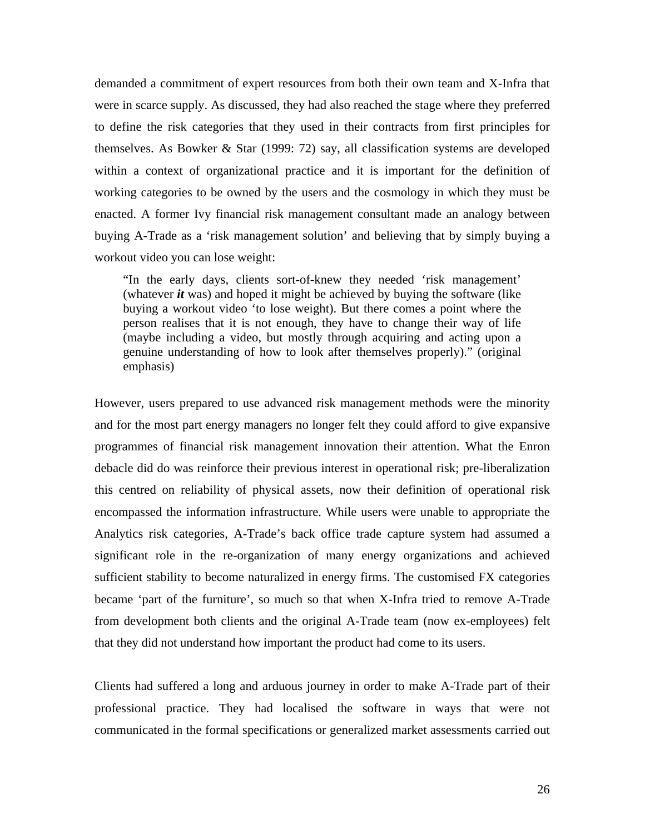demanded a commitment of expert resources from both their own team and X-Infra that were in scarce supply. As discussed, they had also reached the stage where they preferred to define the risk categories that they used in their contracts from first principles for themselves. As Bowker  $\&$  Star (1999: 72) say, all classification systems are developed within a context of organizational practice and it is important for the definition of working categories to be owned by the users and the cosmology in which they must be enacted. A former Ivy financial risk management consultant made an analogy between buying A-Trade as a 'risk management solution' and believing that by simply buying a workout video you can lose weight:

"In the early days, clients sort-of-knew they needed 'risk management' (whatever *it* was) and hoped it might be achieved by buying the software (like buying a workout video 'to lose weight). But there comes a point where the person realises that it is not enough, they have to change their way of life (maybe including a video, but mostly through acquiring and acting upon a genuine understanding of how to look after themselves properly)." (original emphasis)

However, users prepared to use advanced risk management methods were the minority and for the most part energy managers no longer felt they could afford to give expansive programmes of financial risk management innovation their attention. What the Enron debacle did do was reinforce their previous interest in operational risk; pre-liberalization this centred on reliability of physical assets, now their definition of operational risk encompassed the information infrastructure. While users were unable to appropriate the Analytics risk categories, A-Trade's back office trade capture system had assumed a significant role in the re-organization of many energy organizations and achieved sufficient stability to become naturalized in energy firms. The customised FX categories became 'part of the furniture', so much so that when X-Infra tried to remove A-Trade from development both clients and the original A-Trade team (now ex-employees) felt that they did not understand how important the product had come to its users.

Clients had suffered a long and arduous journey in order to make A-Trade part of their professional practice. They had localised the software in ways that were not communicated in the formal specifications or generalized market assessments carried out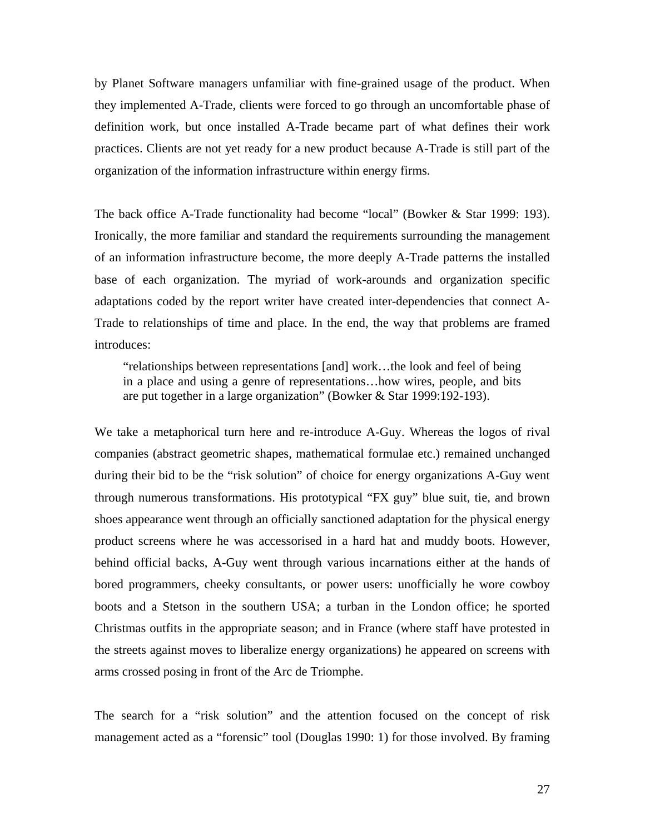by Planet Software managers unfamiliar with fine-grained usage of the product. When they implemented A-Trade, clients were forced to go through an uncomfortable phase of definition work, but once installed A-Trade became part of what defines their work practices. Clients are not yet ready for a new product because A-Trade is still part of the organization of the information infrastructure within energy firms.

The back office A-Trade functionality had become "local" (Bowker & Star 1999: 193). Ironically, the more familiar and standard the requirements surrounding the management of an information infrastructure become, the more deeply A-Trade patterns the installed base of each organization. The myriad of work-arounds and organization specific adaptations coded by the report writer have created inter-dependencies that connect A-Trade to relationships of time and place. In the end, the way that problems are framed introduces:

"relationships between representations [and] work…the look and feel of being in a place and using a genre of representations…how wires, people, and bits are put together in a large organization" (Bowker & Star 1999:192-193).

We take a metaphorical turn here and re-introduce A-Guy. Whereas the logos of rival companies (abstract geometric shapes, mathematical formulae etc.) remained unchanged during their bid to be the "risk solution" of choice for energy organizations A-Guy went through numerous transformations. His prototypical "FX guy" blue suit, tie, and brown shoes appearance went through an officially sanctioned adaptation for the physical energy product screens where he was accessorised in a hard hat and muddy boots. However, behind official backs, A-Guy went through various incarnations either at the hands of bored programmers, cheeky consultants, or power users: unofficially he wore cowboy boots and a Stetson in the southern USA; a turban in the London office; he sported Christmas outfits in the appropriate season; and in France (where staff have protested in the streets against moves to liberalize energy organizations) he appeared on screens with arms crossed posing in front of the Arc de Triomphe.

The search for a "risk solution" and the attention focused on the concept of risk management acted as a "forensic" tool (Douglas 1990: 1) for those involved. By framing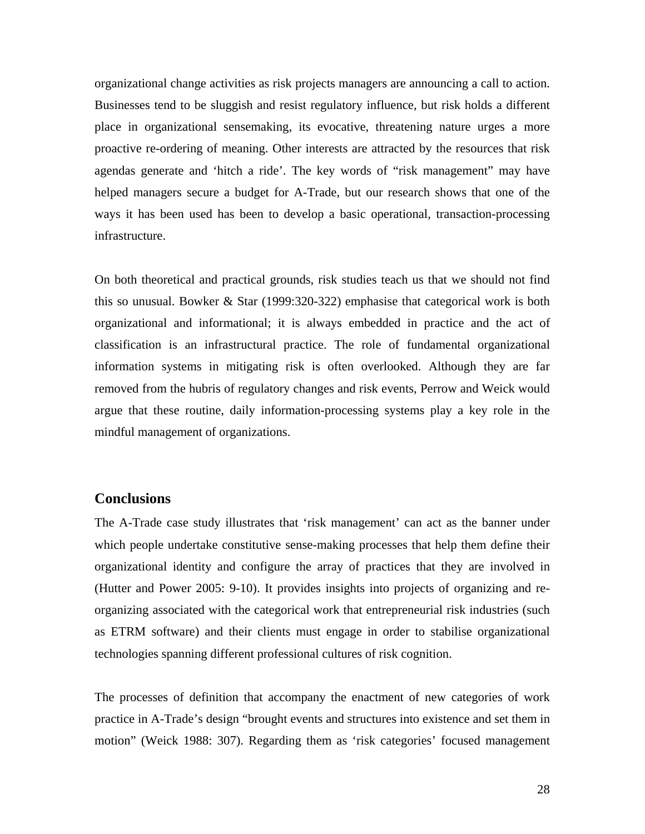organizational change activities as risk projects managers are announcing a call to action. Businesses tend to be sluggish and resist regulatory influence, but risk holds a different place in organizational sensemaking, its evocative, threatening nature urges a more proactive re-ordering of meaning. Other interests are attracted by the resources that risk agendas generate and 'hitch a ride'. The key words of "risk management" may have helped managers secure a budget for A-Trade, but our research shows that one of the ways it has been used has been to develop a basic operational, transaction-processing infrastructure.

On both theoretical and practical grounds, risk studies teach us that we should not find this so unusual. Bowker & Star (1999:320-322) emphasise that categorical work is both organizational and informational; it is always embedded in practice and the act of classification is an infrastructural practice. The role of fundamental organizational information systems in mitigating risk is often overlooked. Although they are far removed from the hubris of regulatory changes and risk events, Perrow and Weick would argue that these routine, daily information-processing systems play a key role in the mindful management of organizations.

#### **Conclusions**

The A-Trade case study illustrates that 'risk management' can act as the banner under which people undertake constitutive sense-making processes that help them define their organizational identity and configure the array of practices that they are involved in (Hutter and Power 2005: 9-10). It provides insights into projects of organizing and reorganizing associated with the categorical work that entrepreneurial risk industries (such as ETRM software) and their clients must engage in order to stabilise organizational technologies spanning different professional cultures of risk cognition.

The processes of definition that accompany the enactment of new categories of work practice in A-Trade's design "brought events and structures into existence and set them in motion" (Weick 1988: 307). Regarding them as 'risk categories' focused management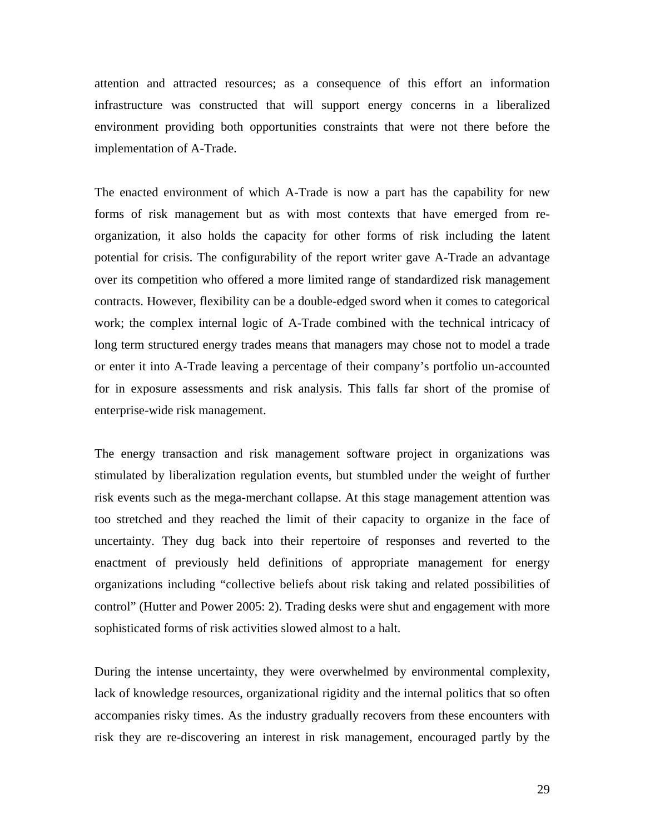attention and attracted resources; as a consequence of this effort an information infrastructure was constructed that will support energy concerns in a liberalized environment providing both opportunities constraints that were not there before the implementation of A-Trade.

The enacted environment of which A-Trade is now a part has the capability for new forms of risk management but as with most contexts that have emerged from reorganization, it also holds the capacity for other forms of risk including the latent potential for crisis. The configurability of the report writer gave A-Trade an advantage over its competition who offered a more limited range of standardized risk management contracts. However, flexibility can be a double-edged sword when it comes to categorical work; the complex internal logic of A-Trade combined with the technical intricacy of long term structured energy trades means that managers may chose not to model a trade or enter it into A-Trade leaving a percentage of their company's portfolio un-accounted for in exposure assessments and risk analysis. This falls far short of the promise of enterprise-wide risk management.

The energy transaction and risk management software project in organizations was stimulated by liberalization regulation events, but stumbled under the weight of further risk events such as the mega-merchant collapse. At this stage management attention was too stretched and they reached the limit of their capacity to organize in the face of uncertainty. They dug back into their repertoire of responses and reverted to the enactment of previously held definitions of appropriate management for energy organizations including "collective beliefs about risk taking and related possibilities of control" (Hutter and Power 2005: 2). Trading desks were shut and engagement with more sophisticated forms of risk activities slowed almost to a halt.

During the intense uncertainty, they were overwhelmed by environmental complexity, lack of knowledge resources, organizational rigidity and the internal politics that so often accompanies risky times. As the industry gradually recovers from these encounters with risk they are re-discovering an interest in risk management, encouraged partly by the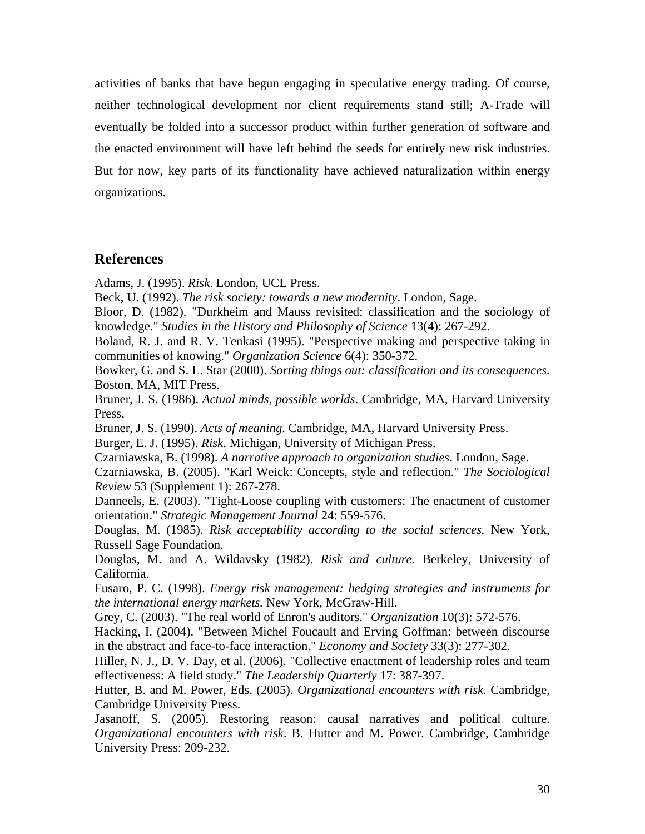activities of banks that have begun engaging in speculative energy trading. Of course, neither technological development nor client requirements stand still; A-Trade will eventually be folded into a successor product within further generation of software and the enacted environment will have left behind the seeds for entirely new risk industries. But for now, key parts of its functionality have achieved naturalization within energy organizations.

#### **References**

Adams, J. (1995). *Risk*. London, UCL Press.

Beck, U. (1992). *The risk society: towards a new modernity*. London, Sage.

Bloor, D. (1982). "Durkheim and Mauss revisited: classification and the sociology of knowledge." *Studies in the History and Philosophy of Science* 13(4): 267-292.

Boland, R. J. and R. V. Tenkasi (1995). "Perspective making and perspective taking in communities of knowing." *Organization Science* 6(4): 350-372.

Bowker, G. and S. L. Star (2000). *Sorting things out: classification and its consequences*. Boston, MA, MIT Press.

Bruner, J. S. (1986). *Actual minds, possible worlds*. Cambridge, MA, Harvard University Press.

Bruner, J. S. (1990). *Acts of meaning*. Cambridge, MA, Harvard University Press.

Burger, E. J. (1995). *Risk*. Michigan, University of Michigan Press.

Czarniawska, B. (1998). *A narrative approach to organization studies*. London, Sage.

Czarniawska, B. (2005). "Karl Weick: Concepts, style and reflection." *The Sociological Review* 53 (Supplement 1): 267-278.

Danneels, E. (2003). "Tight-Loose coupling with customers: The enactment of customer orientation." *Strategic Management Journal* 24: 559-576.

Douglas, M. (1985). *Risk acceptability according to the social sciences.* New York, Russell Sage Foundation.

Douglas, M. and A. Wildavsky (1982). *Risk and culture*. Berkeley, University of California.

Fusaro, P. C. (1998). *Energy risk management: hedging strategies and instruments for the international energy markets.* New York, McGraw-Hill.

Grey, C. (2003). "The real world of Enron's auditors." *Organization* 10(3): 572-576.

Hacking, I. (2004). "Between Michel Foucault and Erving Goffman: between discourse in the abstract and face-to-face interaction." *Economy and Society* 33(3): 277-302.

Hiller, N. J., D. V. Day, et al. (2006). "Collective enactment of leadership roles and team effectiveness: A field study." *The Leadership Quarterly* 17: 387-397.

Hutter, B. and M. Power, Eds. (2005). *Organizational encounters with risk*. Cambridge, Cambridge University Press.

Jasanoff, S. (2005). Restoring reason: causal narratives and political culture. *Organizational encounters with risk*. B. Hutter and M. Power. Cambridge, Cambridge University Press: 209-232.